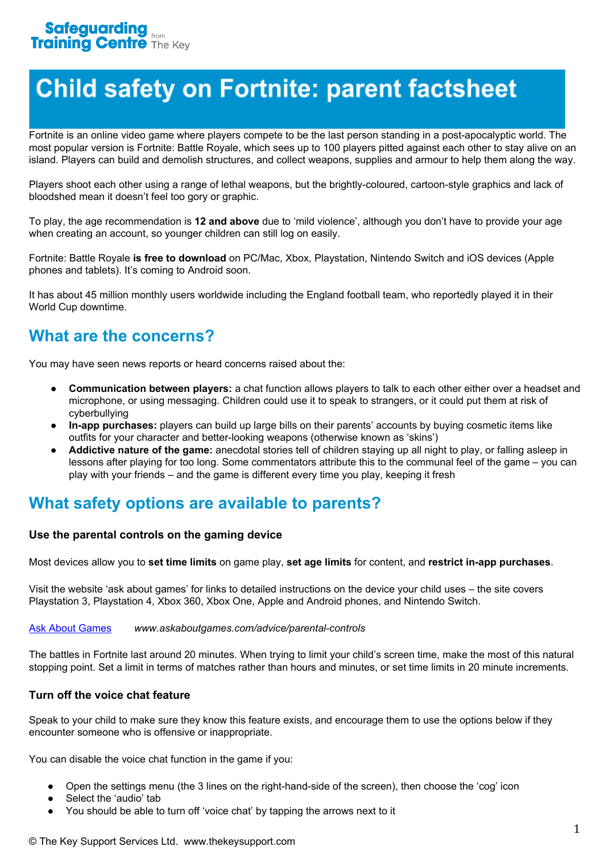# **Child safety on Fortnite: parent factsheet**

Fortnite is an online video game where players compete to be the last person standing in a post-apocalyptic world. The most popular version is Fortnite: Battle Royale, which sees up to 100 players pitted against each other to stay alive on an island. Players can build and demolish structures, and collect weapons, supplies and armour to help them along the way.

Players shoot each other using a range of lethal weapons, but the brightly-coloured, cartoon-style graphics and lack of bloodshed mean it doesn't feel too gory or graphic.

To play, the age recommendation is **12 and above** due to 'mild violence', although you don't have to provide your age when creating an account, so younger children can still log on easily.

Fortnite: Battle Royale **is free to download** on PC/Mac, Xbox, Playstation, Nintendo Switch and iOS devices (Apple phones and tablets). It's coming to Android soon.

It has about 45 million monthly users worldwide including the England football team, who reportedly played it in their World Cup downtime.

## **What are the concerns?**

You may have seen news reports or heard concerns raised about the:

- **Communication between players:** a chat function allows players to talk to each other either over a headset and microphone, or using messaging. Children could use it to speak to strangers, or it could put them at risk of cyberbullying
- **In-app purchases:** players can build up large bills on their parents' accounts by buying cosmetic items like outfits for your character and better-looking weapons (otherwise known as 'skins')
- **Addictive nature of the game:** anecdotal stories tell of children staying up all night to play, or falling asleep in lessons after playing for too long. Some commentators attribute this to the communal feel of the game – you can play with your friends – and the game is different every time you play, keeping it fresh

### **What safety options are available to parents?**

### **Use the parental controls on the gaming device**

Most devices allow you to **set time limits** on game play, **set age limits** for content, and **restrict in-app purchases**.

Visit the website 'ask about games' for links to detailed instructions on the device your child uses – the site covers Playstation 3, Playstation 4, Xbox 360, Xbox One, Apple and Android phones, and Nintendo Switch.

Ask About [Games](http://www.askaboutgames.com/advice/parental-controls) *www.askaboutgames.com/advice/parental-controls*

The battles in Fortnite last around 20 minutes. When trying to limit your child's screen time, make the most of this natural stopping point. Set a limit in terms of matches rather than hours and minutes, or set time limits in 20 minute increments.

### **Turn off the voice chat feature**

Speak to your child to make sure they know this feature exists, and encourage them to use the options below if they encounter someone who is offensive or inappropriate.

You can disable the voice chat function in the game if you:

- Open the settings menu (the 3 lines on the right-hand-side of the screen), then choose the 'cog' icon
- Select the 'audio' tab
- You should be able to turn off 'voice chat' by tapping the arrows next to it